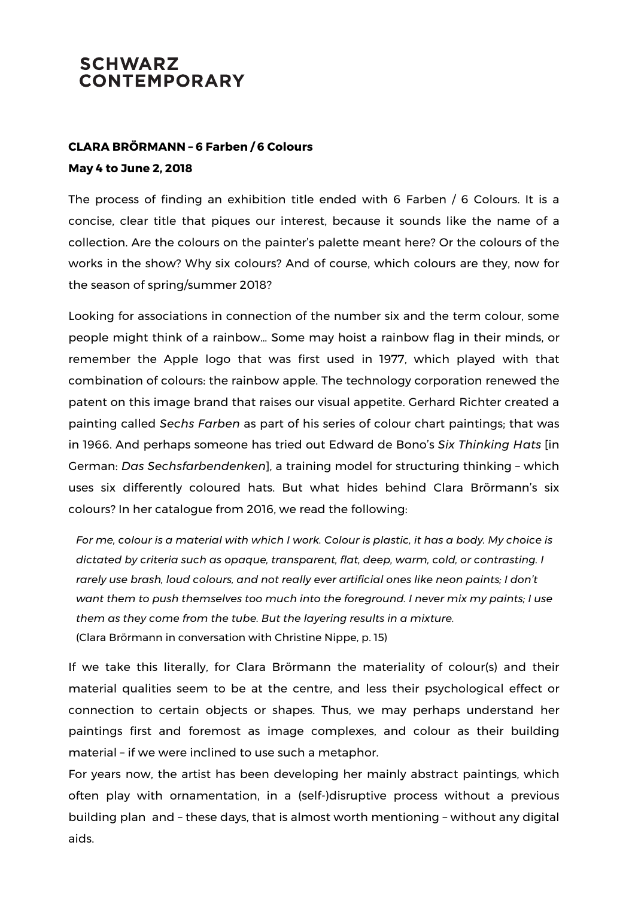## **SCHWARZ CONTEMPORARY**

## **CLARA BRÖRMANN – 6 Farben / 6 Colours May 4 to June 2, 2018**

The process of finding an exhibition title ended with 6 Farben / 6 Colours. It is a concise, clear title that piques our interest, because it sounds like the name of a collection. Are the colours on the painter's palette meant here? Or the colours of the works in the show? Why six colours? And of course, which colours are they, now for the season of spring/summer 2018?

Looking for associations in connection of the number six and the term colour, some people might think of a rainbow… Some may hoist a rainbow flag in their minds, or remember the Apple logo that was first used in 1977, which played with that combination of colours: the rainbow apple. The technology corporation renewed the patent on this image brand that raises our visual appetite. Gerhard Richter created a painting called *Sechs Farben* as part of his series of colour chart paintings; that was in 1966. And perhaps someone has tried out Edward de Bono's *Six Thinking Hats* [in German: *Das Sechsfarbendenken*], a training model for structuring thinking – which uses six differently coloured hats. But what hides behind Clara Brörmann's six colours? In her catalogue from 2016, we read the following:

For me, colour is a material with which I work. Colour is plastic, it has a body. My choice is *dictated by criteria such as opaque, transparent, flat, deep, warm, cold, or contrasting. I rarely use brash, loud colours, and not really ever artificial ones like neon paints; I don't want them to push themselves too much into the foreground. I never mix my paints; I use them as they come from the tube. But the layering results in a mixture.* (Clara Brörmann in conversation with Christine Nippe, p. 15)

If we take this literally, for Clara Brörmann the materiality of colour(s) and their material qualities seem to be at the centre, and less their psychological effect or connection to certain objects or shapes. Thus, we may perhaps understand her paintings first and foremost as image complexes, and colour as their building material – if we were inclined to use such a metaphor.

For years now, the artist has been developing her mainly abstract paintings, which often play with ornamentation, in a (self-)disruptive process without a previous building plan and – these days, that is almost worth mentioning – without any digital aids.